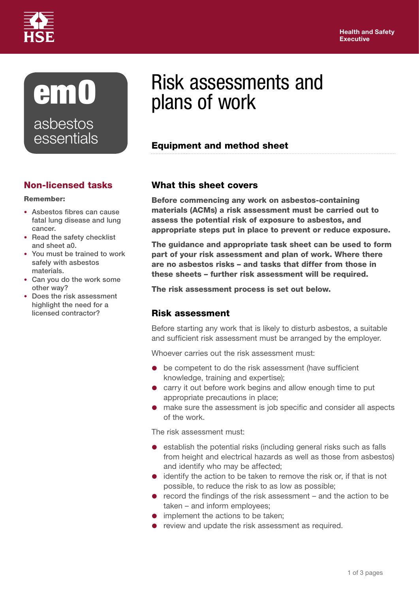

# em0 asbestos **essentials**

## Non-licensed tasks

#### Remember:

- Asbestos fibres can cause fatal lung disease and lung cancer.
- Read the safety checklist and sheet a0.
- You must be trained to work safely with asbestos materials.
- Can you do the work some other way?
- Does the risk assessment highlight the need for a licensed contractor?

# Risk assessments and plans of work

### Equipment and method sheet

#### What this sheet covers

Before commencing any work on asbestos-containing materials (ACMs) a risk assessment must be carried out to assess the potential risk of exposure to asbestos, and appropriate steps put in place to prevent or reduce exposure.

The guidance and appropriate task sheet can be used to form part of your risk assessment and plan of work. Where there are no asbestos risks – and tasks that differ from those in these sheets – further risk assessment will be required.

The risk assessment process is set out below.

### Risk assessment

Before starting any work that is likely to disturb asbestos, a suitable and sufficient risk assessment must be arranged by the employer.

Whoever carries out the risk assessment must:

- be competent to do the risk assessment (have sufficient knowledge, training and expertise);
- **•** carry it out before work begins and allow enough time to put appropriate precautions in place;
- make sure the assessment is job specific and consider all aspects of the work.

The risk assessment must:

- **e** establish the potential risks (including general risks such as falls from height and electrical hazards as well as those from asbestos) and identify who may be affected;
- identify the action to be taken to remove the risk or, if that is not possible, to reduce the risk to as low as possible;
- record the findings of the risk assessment and the action to be taken – and inform employees;
- implement the actions to be taken;
- review and update the risk assessment as required.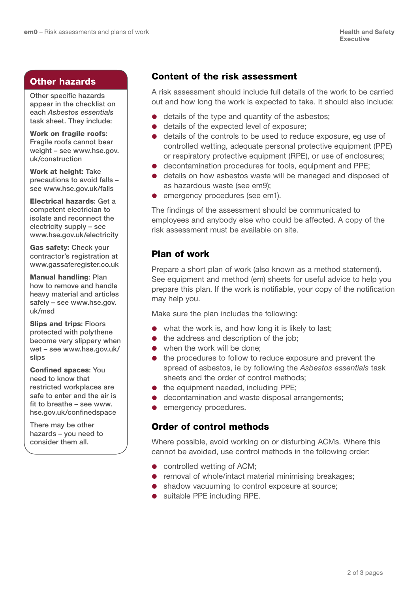#### Other hazards

Other specific hazards appear in the checklist on each *Asbestos essentials*  task sheet. They include:

Work on fragile roofs: Fragile roofs cannot bear weight – see [www.hse.gov.](www.hse.gov.uk/construction/index.htm) [uk/construction](www.hse.gov.uk/construction/index.htm)

Work at height: Take precautions to avoid falls – see www.[hse.gov.uk/falls](hse.gov.uk/falls/index.htm)

Electrical hazards: Get a competent electrician to isolate and reconnect the electricity supply – see [www.hse.gov.uk/electricity](www.hse.gov.uk/electricity/index.htm)

Gas safety: Check your contractor's registration at <www.gassaferegister.co.uk>

Manual handling: Plan how to remove and handle heavy material and articles safely – see [www.hse.gov.](www.hse.gov.uk/msd/index.htm) [uk/msd](www.hse.gov.uk/msd/index.htm)

Slips and trips: Floors protected with polythene become very slippery when wet – see [www.hse.gov.uk/](www.hse.gov.uk/slips/index.htm) [slips](www.hse.gov.uk/slips/index.htm)

Confined spaces: You need to know that restricted workplaces are safe to enter and the air is fit to breathe – see [www.](www.hse.gov.uk/confinedspace/index.htm) [hse.gov.uk/confinedspace](www.hse.gov.uk/confinedspace/index.htm)

There may be other hazards – you need to consider them all.

#### Content of the risk assessment

A risk assessment should include full details of the work to be carried out and how long the work is expected to take. It should also include:

- details of the type and quantity of the asbestos;
- details of the expected level of exposure:
- details of the controls to be used to reduce exposure, eg use of controlled wetting, adequate personal protective equipment (PPE) or respiratory protective equipment (RPE), or use of enclosures;
- decontamination procedures for tools, equipment and PPE;
- details on how asbestos waste will be managed and disposed of as hazardous waste (see em9);
- emergency procedures (see em1).

The findings of the assessment should be communicated to employees and anybody else who could be affected. A copy of the risk assessment must be available on site.

#### Plan of work

Prepare a short plan of work (also known as a method statement). See equipment and method (em) sheets for useful advice to help you prepare this plan. If the work is notifiable, your copy of the notification may help you.

Make sure the plan includes the following:

- what the work is, and how long it is likely to last;
- $\bullet$  the address and description of the job;
- when the work will be done:
- $\bullet$  the procedures to follow to reduce exposure and prevent the spread of asbestos, ie by following the *Asbestos essentials* task sheets and the order of control methods;
- $\bullet$  the equipment needed, including PPE;
- decontamination and waste disposal arrangements;
- **emergency procedures.**

#### Order of control methods

Where possible, avoid working on or disturbing ACMs. Where this cannot be avoided, use control methods in the following order:

- **•** controlled wetting of ACM;
- removal of whole/intact material minimising breakages;
- shadow vacuuming to control exposure at source;
- suitable PPE including RPE.